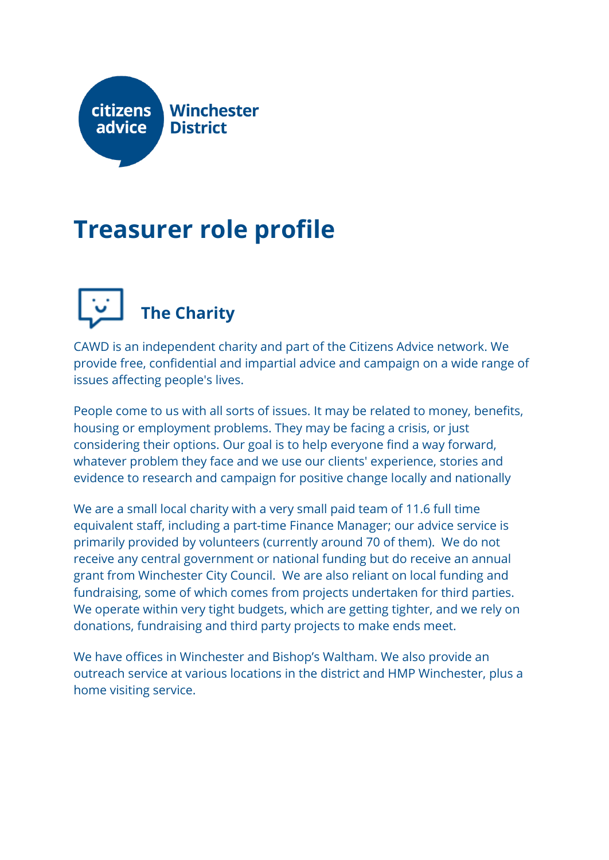

### **Treasurer role profile**



CAWD is an independent charity and part of the Citizens Advice network. We provide free, confidential and impartial advice and campaign on a wide range of issues affecting people's lives.

People come to us with all sorts of issues. It may be related to money, benefits, housing or employment problems. They may be facing a crisis, or just considering their options. Our goal is to help everyone find a way forward, whatever problem they face and we use our clients' experience, stories and evidence to research and campaign for positive change locally and nationally

We are a small local charity with a very small paid team of 11.6 full time equivalent staff, including a part-time Finance Manager; our advice service is primarily provided by volunteers (currently around 70 of them). We do not receive any central government or national funding but do receive an annual grant from Winchester City Council. We are also reliant on local funding and fundraising, some of which comes from projects undertaken for third parties. We operate within very tight budgets, which are getting tighter, and we rely on donations, fundraising and third party projects to make ends meet.

We have offices in Winchester and Bishop's Waltham. We also provide an outreach service at various locations in the district and HMP Winchester, plus a home visiting service.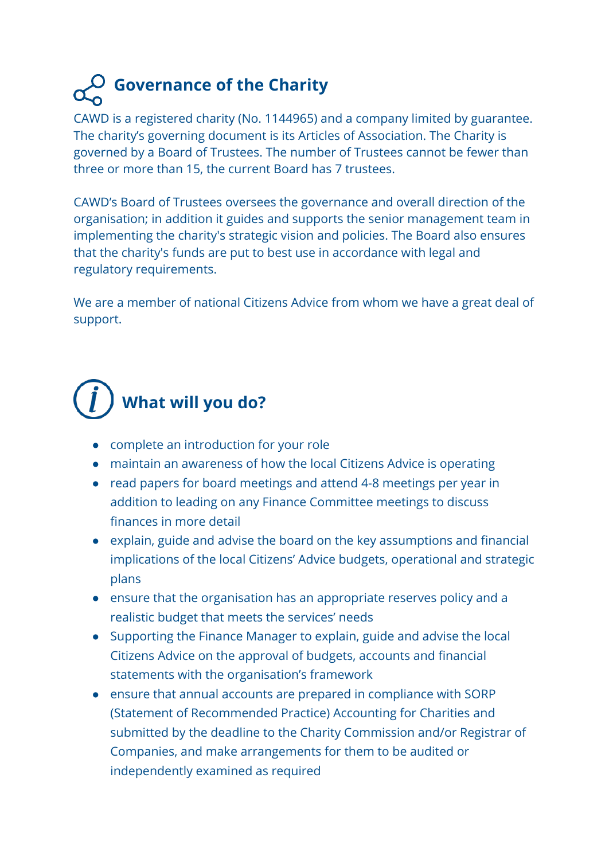### **Governance of the Charity**

CAWD is a registered charity (No. 1144965) and a company limited by guarantee. The charity's governing document is its Articles of Association. The Charity is governed by a Board of Trustees. The number of Trustees cannot be fewer than three or more than 15, the current Board has 7 trustees.

CAWD's Board of Trustees oversees the governance and overall direction of the organisation; in addition it guides and supports the senior management team in implementing the charity's strategic vision and policies. The Board also ensures that the charity's funds are put to best use in accordance with legal and regulatory requirements.

We are a member of national Citizens Advice from whom we have a great deal of support.

## **What will you do?**

- complete an introduction for your role
- maintain an awareness of how the local Citizens Advice is operating
- read papers for board meetings and attend 4-8 meetings per year in addition to leading on any Finance Committee meetings to discuss finances in more detail
- explain, guide and advise the board on the key assumptions and financial implications of the local Citizens' Advice budgets, operational and strategic plans
- ensure that the organisation has an appropriate reserves policy and a realistic budget that meets the services' needs
- Supporting the Finance Manager to explain, guide and advise the local Citizens Advice on the approval of budgets, accounts and financial statements with the organisation's framework
- ensure that annual accounts are prepared in compliance with SORP (Statement of Recommended Practice) Accounting for Charities and submitted by the deadline to the Charity Commission and/or Registrar of Companies, and make arrangements for them to be audited or independently examined as required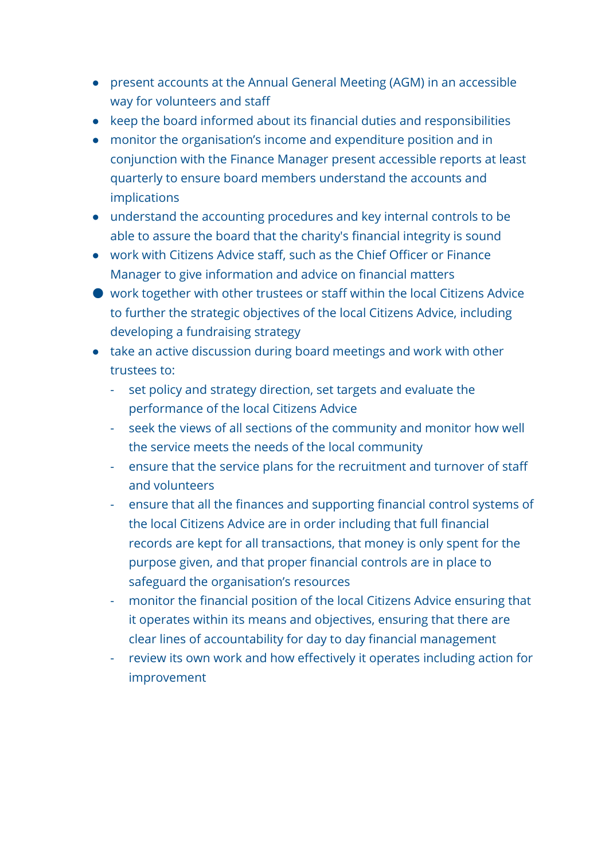- present accounts at the Annual General Meeting (AGM) in an accessible way for volunteers and staff
- keep the board informed about its financial duties and responsibilities
- monitor the organisation's income and expenditure position and in conjunction with the Finance Manager present accessible reports at least quarterly to ensure board members understand the accounts and implications
- understand the accounting procedures and key internal controls to be able to assure the board that the charity's financial integrity is sound
- work with Citizens Advice staff, such as the Chief Officer or Finance Manager to give information and advice on financial matters
- work together with other trustees or staff within the local Citizens Advice to further the strategic objectives of the local Citizens Advice, including developing a fundraising strategy
- take an active discussion during board meetings and work with other trustees to:
	- set policy and strategy direction, set targets and evaluate the performance of the local Citizens Advice
	- seek the views of all sections of the community and monitor how well the service meets the needs of the local community
	- ensure that the service plans for the recruitment and turnover of staff and volunteers
	- ensure that all the finances and supporting financial control systems of the local Citizens Advice are in order including that full financial records are kept for all transactions, that money is only spent for the purpose given, and that proper financial controls are in place to safeguard the organisation's resources
	- monitor the financial position of the local Citizens Advice ensuring that it operates within its means and objectives, ensuring that there are clear lines of accountability for day to day financial management
	- review its own work and how effectively it operates including action for improvement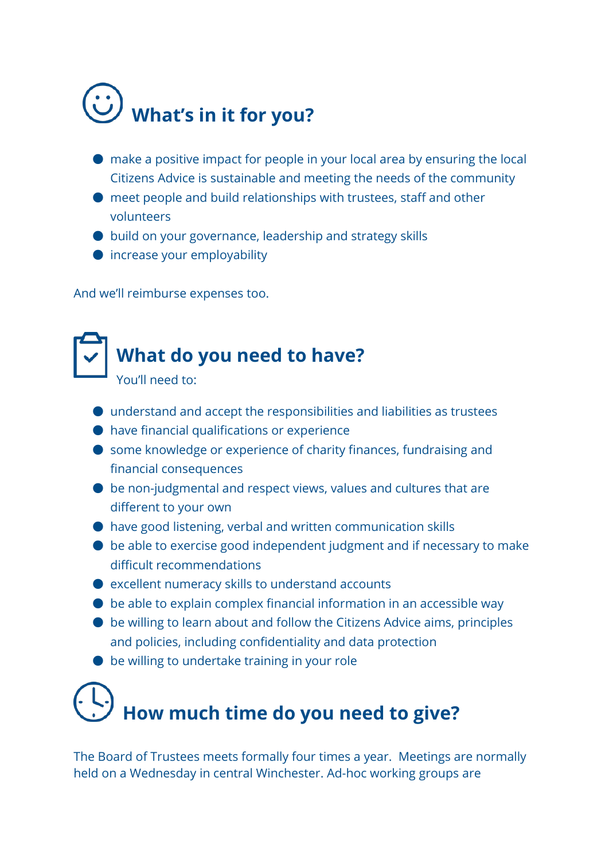# **What's in it for you?**

- make a positive impact for people in your local area by ensuring the local Citizens Advice is sustainable and meeting the needs of the community
- meet people and build relationships with trustees, staff and other volunteers
- build on your governance, leadership and strategy skills
- increase your employability

And we'll reimburse expenses too.

#### **What do you need to have?**

You'll need to:

- understand and accept the responsibilities and liabilities as trustees
- have financial qualifications or experience
- some knowledge or experience of charity finances, fundraising and financial consequences
- be non-judgmental and respect views, values and cultures that are different to your own
- have good listening, verbal and written communication skills
- be able to exercise good independent judgment and if necessary to make difficult recommendations
- $\bullet$  excellent numeracy skills to understand accounts
- $\bullet$  be able to explain complex financial information in an accessible way
- be willing to learn about and follow the Citizens Advice aims, principles and policies, including confidentiality and data protection
- be willing to undertake training in your role

## **How much time do you need to give?**

The Board of Trustees meets formally four times a year. Meetings are normally held on a Wednesday in central Winchester. Ad-hoc working groups are